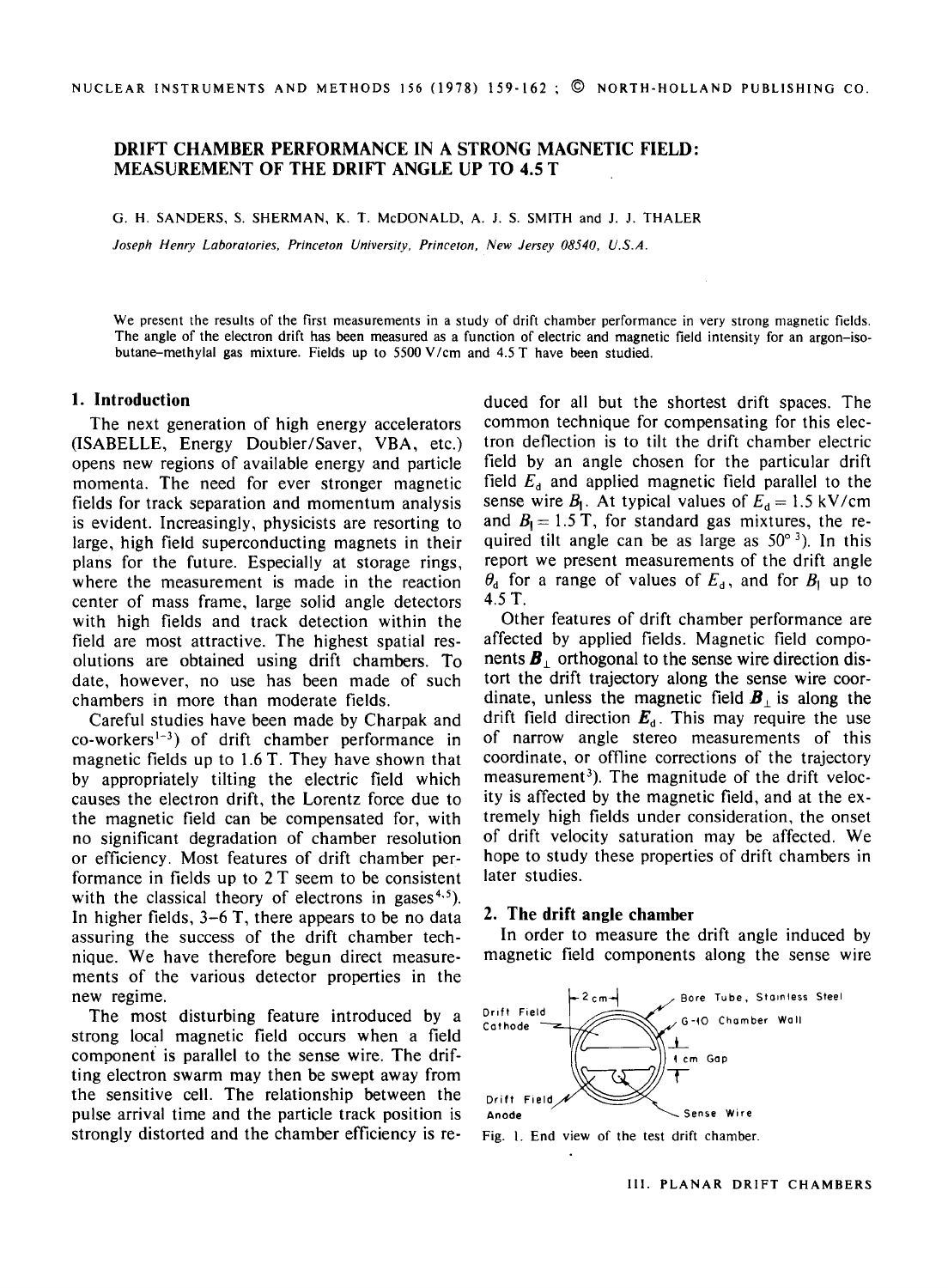## **DRIFT CHAMBER** PERFORMANCE IN A STRONG MAGNETIC FIELD: MEASUREMENT OF THE DRIFT ANGLE UP TO 4.5 T

G. H. SANDERS, S. SHERMAN, K. T. McDONALD, A. J. S. SMITH and J. J. THALER

*Joseph Henry Laboratories, Princeton University, Princeton, New Jersey 08540, U.S.A.* 

We present the results of the first measurements in a study of drift chamber performance in very strong magnetic fields. The angle of the electron drift has been measured as a function of electric and magnetic field intensity for an argon-isobutane-methylal gas mixture. Fields up to 5500 V/cm and 4.5 T have been studied.

#### **1. Introduction**

The next generation of high energy accelerators (ISABELLE, Energy Doubler/Saver, VBA, etc.) opens new regions of available energy and particle momenta. The need for ever stronger magnetic fields for track separation and momentum analysis is evident. Increasingly, physicists are resorting to large, high field superconducting magnets in their plans for the future. Especially at storage rings, where the measurement is made in the reaction center of mass frame, large solid angle detectors with high fields and track detection within the field are most attractive. The highest spatial resolutions are obtained using drift chambers. To date, however, no use has been made of such chambers in more than moderate fields.

Careful studies have been made by Charpak and  $co\text{-}works^{1-3}$  of drift chamber performance in magnetic fields up to 1.6 T. They have shown that by appropriately tilting the electric field which causes the electron drift, the Lorentz force due to the magnetic field can be compensated for, with no significant degradation of chamber resolution or efficiency. Most features of drift chamber performance in fields up to 2 T seem to be consistent with the classical theory of electrons in gases<sup> $4.5$ </sup>). In higher fields,  $3-6$  T, there appears to be no data assuring the success of the drift chamber technique. We have therefore begun direct measurements of the various detector properties in the new regime.

The most disturbing feature introduced by a strong local magnetic field occurs when a field component is parallel to the sense wire. The drifting electron swarm may then be swept away from the sensitive ceil. The relationship between the pulse arrival time and the particle track position is strongly distorted and the chamber efficiency is reduced for all but the shortest drift spaces. The common technique for compensating for this electron deflection is to tilt the drift chamber electric field by an angle chosen for the particular drift field  $E_d$  and applied magnetic field parallel to the sense wire  $B_1$ . At typical values of  $E_d = 1.5 \text{ kV/cm}$ and  $B_1 = 1.5$  T, for standard gas mixtures, the required tilt angle can be as large as  $50^{\circ}$ <sup>3</sup>). In this report we present measurements of the drift angle  $\theta_{d}$  for a range of values of  $E_{d}$ , and for  $B_{\parallel}$  up to 4.5T.

Other features of drift chamber performance are affected by applied fields. Magnetic field components  $\mathbf{B}_{\perp}$  orthogonal to the sense wire direction distort the drift trajectory along the sense wire coordinate, unless the magnetic field  $\mathbf{B}_{\perp}$  is along the drift field direction  $\mathbf{E}_{d}$ . This may require the use of narrow angle stereo measurements of this coordinate, or offline corrections of the trajectory measurement<sup>3</sup>). The magnitude of the drift velocity is affected by the magnetic field, and at the extremely high fields under consideration, the onset of drift velocity saturation may be affected. We hope to study these properties of drift chambers in later studies.

### 2. The **drift angle chamber**

In order to measure the drift angle induced by magnetic field components along the sense wire



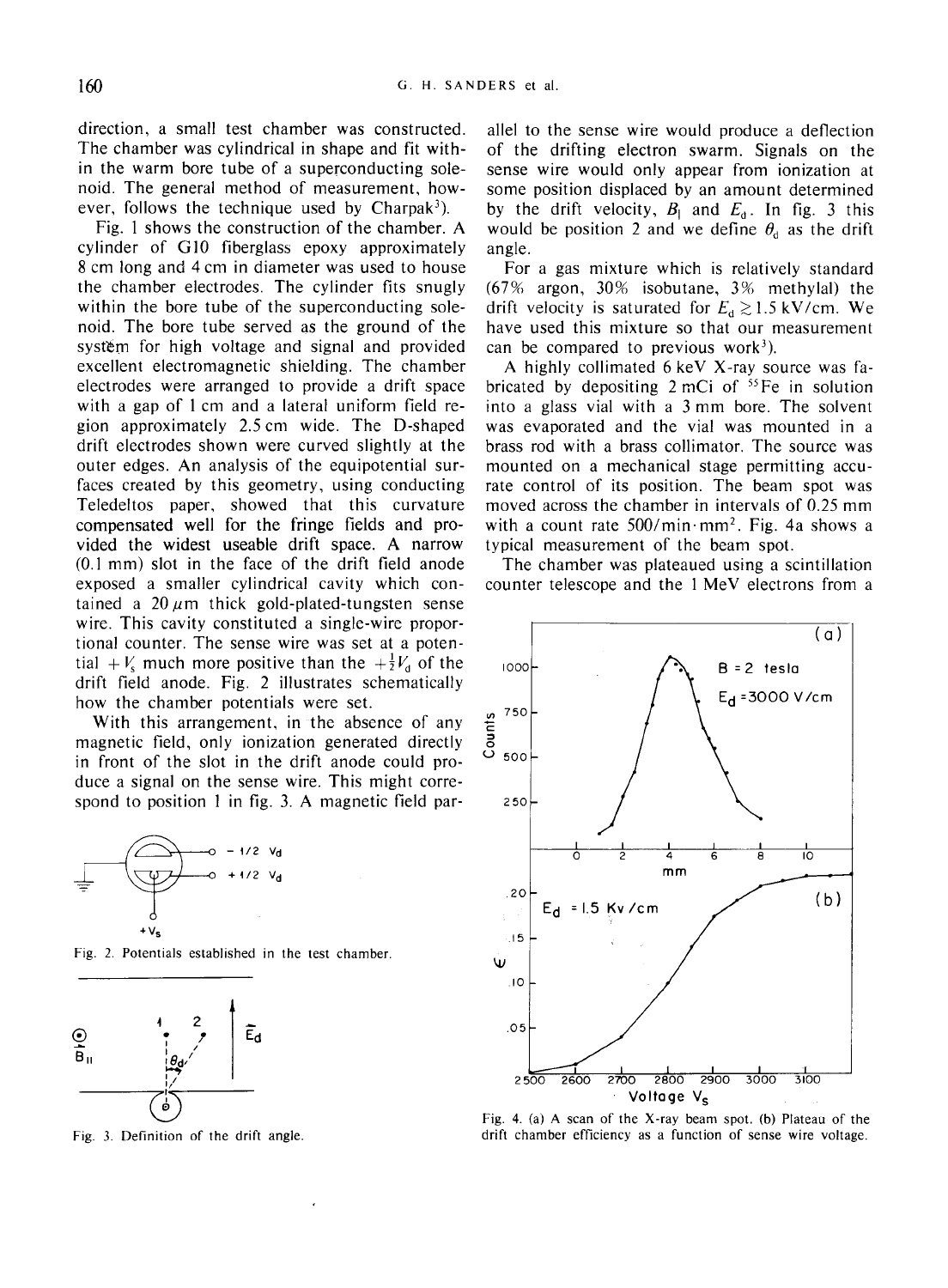direction, a small test chamber was constructed. The chamber was cylindrical in shape and fit within the warm bore tube of a superconducting solenoid. The general method of measurement, however, follows the technique used by Charpak<sup>3</sup>).

Fig. 1 shows the construction of the chamber. A cylinder of GI0 fiberglass epoxy approximately 8 cm long and 4 cm in diameter was used to house the chamber electrodes. The cylinder fits snugly within the bore tube of the superconducting solenoid. The bore tube served as the ground of the system for high voltage and signal and provided excellent electromagnetic shielding. The chamber electrodes were arranged to provide a drift space with a gap of 1 cm and a lateral uniform field region approximately 2.5cm wide. The D-shaped drift electrodes shown were curved slightly at the outer edges. An analysis of the equipotential surfaces created by this geometry, using conducting Teledeltos paper, showed that this curvature compensated well for the fringe fields and provided the widest useable drift space. A narrow (0.1 mm) slot in the face of the drift field anode exposed a smaller cylindrical cavity which contained a  $20 \mu m$  thick gold-plated-tungsten sense wire. This cavity constituted a single-wire proportional counter. The sense wire was set at a potential +  $V_s$  much more positive than the  $+\frac{1}{2}V_d$  of the drift field anode. Fig. 2 illustrates schematically how the chamber potentials were set.

With this arrangement, in the absence of any magnetic field, only ionization generated directly in front of the slot in the drift anode could produce a signal on the sense wire. This might correspond to position 1 in fig. 3. A magnetic field par-



Fig. 2. Potentials established in the test chamber.



Fig. 3. Definition of the drift angle.

allel to the sense wire would produce a deflection of the drifting electron swarm. Signals on the sense wire would only appear from ionization at some position displaced by an amount determined by the drift velocity,  $B_{\parallel}$  and  $E_{\rm d}$ . In fig. 3 this would be position 2 and we define  $\theta_{d}$  as the drift angle.

For a gas mixture which is relatively standard  $(67\%$  argon,  $30\%$  isobutane,  $3\%$  methylal) the drift velocity is saturated for  $E_d \ge 1.5 \text{ kV/cm}$ . We have used this mixture so that our measurement can be compared to previous work<sup>3</sup>).

A highly collimated 6 keV X-ray source was fabricated by depositing  $2 \text{ mCi of } ^{55}$  Fe in solution into a glass vial with a 3 mm bore. The solvent was evaporated and the vial was mounted in a brass rod with a brass collimator. The source was mounted on a mechanical stage permitting accurate control of its position. The beam spot was moved across the chamber in intervals of 0.25 mm with a count rate  $500/min \cdot mm^2$ . Fig. 4a shows a typical measurement of the beam spot.

The chamber was plateaued using a scintillation counter telescope and the 1 MeV electrons from a



Fig. 4. (a) A scan of the X-ray beam spot. (b) Plateau of the drift chamber efficiency as a function of sense wire voltage.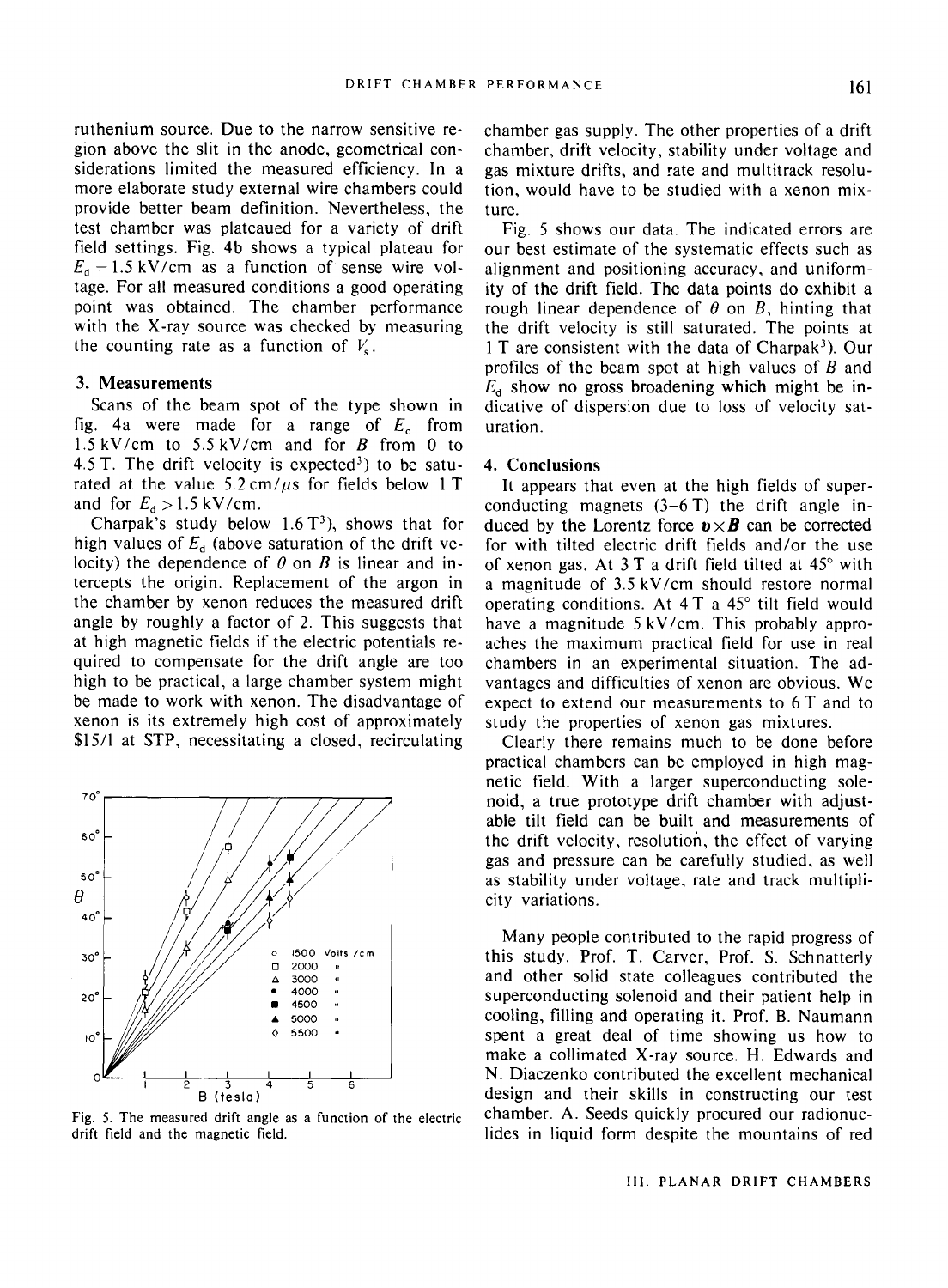ruthenium source. Due to the narrow sensitive region above the slit in the anode, geometrical considerations limited the measured efficiency. In a more elaborate study external wire chambers could provide better beam definition. Nevertheless, the test chamber was plateaued for a variety of drift field settings. Fig. 4b shows a typical plateau for  $E_d = 1.5 \text{ kV/cm}$  as a function of sense wire voltage. For all measured conditions a good operating point was obtained. The chamber performance with the X-ray source was checked by measuring the counting rate as a function of  $V_s$ .

### **3. Measurements**

Scans of the beam spot of the type shown in fig. 4a were made for a range of  $E_d$  from 1.5 kV/cm to *5.5* kV/cm and for B from 0 to 4.5 T. The drift velocity is expected<sup>3</sup>) to be saturated at the value  $5.2 \text{ cm}/\mu s$  for fields below 1 T and for  $E_d > 1.5$  kV/cm.

Charpak's study below  $1.6T<sup>3</sup>$ ), shows that for high values of  $E_d$  (above saturation of the drift velocity) the dependence of  $\theta$  on B is linear and intercepts the origin. Replacement of the argon in the chamber by xenon reduces the measured drift angle by roughly a factor of 2. This suggests that at high magnetic fields if the electric potentials required to compensate for the drift angle are too high to be practical, a large chamber system might be made to work with xenon. The disadvantage of xenon is its extremely high cost of approximately \$15/1 at STP, necessitating a closed, recirculating



Fig. 5. The measured drift angle as a function of the electric drift field and the magnetic field.

chamber gas supply. The other properties of a drift chamber, drift velocity, stability under voltage and gas mixture drifts, and rate and multitrack resolution, would have to be studied with a xenon mixture.

Fig. 5 shows our data. The indicated errors are our best estimate of the systematic effects such as alignment and positioning accuracy, and uniformity of the drift field. The data points do exhibit a rough linear dependence of  $\theta$  on  $\beta$ , hinting that the drift velocity is still saturated. The points at  $1 T$  are consistent with the data of Charpak<sup>3</sup>). Our profiles of the beam spot at high values of  $B$  and  $E_d$  show no gross broadening which might be indicative of dispersion due to loss of velocity saturation.

## 4. Conclusions

It appears that even at the high fields of superconducting magnets  $(3-6T)$  the drift angle induced by the Lorentz force  $\mathbf{v} \times \mathbf{B}$  can be corrected for with tilted electric drift fields and/or the use of xenon gas. At  $3T$  a drift field tilted at  $45^{\circ}$  with a magnitude of 3.5 kV/cm should restore normal operating conditions. At  $4T$  a  $45^\circ$  tilt field would have a magnitude 5 kV/cm. This probably approaches the maximum practical field for use in real chambers in an experimental situation. The advantages and difficulties of xenon are obvious. We expect to extend our measurements to 6 T and to study the properties of xenon gas mixtures.

Clearly there remains much to be done before practical chambers can be employed in high magnetic field. With a larger superconducting solenoid, a true prototype drift chamber with adjustable tilt field can be built and measurements of the drift velocity, resolution, the effect of varying gas and pressure can be carefully studied, as well as stability under voltage, rate and track multiplicity variations.

Many people contributed to the rapid progress of this study. Prof. T. Carver, Prof. S. Schnatterly and other solid state colleagues contributed the superconducting solenoid and their patient help in cooling, filling and operating it. Prof. B. Naumann spent a great deal of time showing us how to make a collimated X-ray source. H. Edwards and N. Diaczenko contributed the excellent mechanical design and their skills in constructing our test chamber. A. Seeds quickly procured our radionuclides in liquid form despite the mountains of red